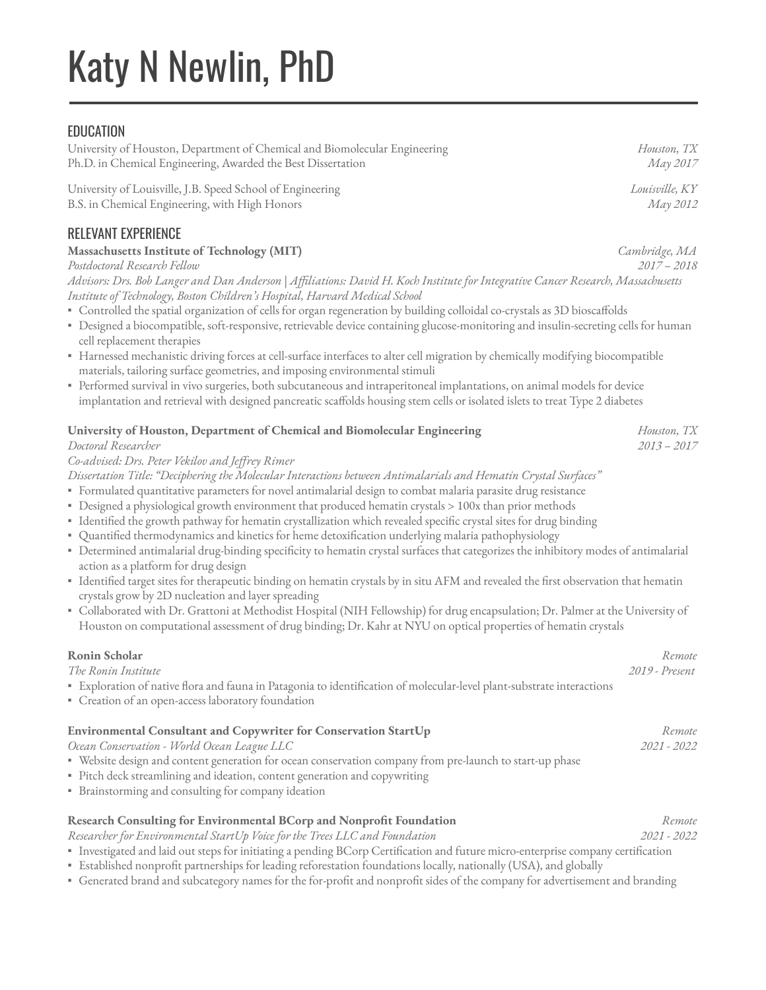# Katy N Newlin, PhD

# **EDUCATION**

University of Houston, Department of Chemical and Biomolecular Engineering *Houston, TX* Ph.D. in Chemical Engineering, Awarded the Best Dissertation *May 2017*

University of Louisville, J.B. Speed School of Engineering *Louisville, KY* B.S. in Chemical Engineering, with High Honors *May 2012*

## RELEVANT EXPERIENCE

#### **Massachusetts Institute of Technology (MIT)** *Cambridge, MA*

*Postdoctoral Research Fellow 2017 – 2018*

*Advisors: Drs. Bob Langer and Dan Anderson* | *Affiliations: David H. Koch Institute for Integrative Cancer Research, Massachusetts Institute of Technology, Boston Children's Hospital, Harvard Medical School*

- . Controlled the spatial organization of cells for organ regeneration by building colloidal co-crystals as 3D bioscaffolds
- Designed a biocompatible, soft-responsive, retrievable device containing glucose-monitoring and insulin-secreting cells for human cell replacement therapies
- Harnessed mechanistic driving forces at cell-surface interfaces to alter cell migration by chemically modifying biocompatible materials, tailoring surface geometries, and imposing environmental stimuli
- Performed survival in vivo surgeries, both subcutaneous and intraperitoneal implantations, on animal models for device implantation and retrieval with designed pancreatic scaffolds housing stem cells or isolated islets to treat Type 2 diabetes

| University of Houston, Department of Chemical and Biomolecular Engineering<br>Doctoral Researcher<br>Co-advised: Drs. Peter Vekilov and Jeffrey Rimer<br>Dissertation Title: "Deciphering the Molecular Interactions between Antimalarials and Hematin Crystal Surfaces"<br>· Formulated quantitative parameters for novel antimalarial design to combat malaria parasite drug resistance<br>• Designed a physiological growth environment that produced hematin crystals > 100x than prior methods<br>· Identified the growth pathway for hematin crystallization which revealed specific crystal sites for drug binding<br>· Quantified thermodynamics and kinetics for heme detoxification underlying malaria pathophysiology<br>• Determined antimalarial drug-binding specificity to hematin crystal surfaces that categorizes the inhibitory modes of antimalarial | Houston, TX<br>$2013 - 2017$ |
|--------------------------------------------------------------------------------------------------------------------------------------------------------------------------------------------------------------------------------------------------------------------------------------------------------------------------------------------------------------------------------------------------------------------------------------------------------------------------------------------------------------------------------------------------------------------------------------------------------------------------------------------------------------------------------------------------------------------------------------------------------------------------------------------------------------------------------------------------------------------------|------------------------------|
| action as a platform for drug design<br>" Identified target sites for therapeutic binding on hematin crystals by in situ AFM and revealed the first observation that hematin<br>crystals grow by 2D nucleation and layer spreading<br>" Collaborated with Dr. Grattoni at Methodist Hospital (NIH Fellowship) for drug encapsulation; Dr. Palmer at the University of<br>Houston on computational assessment of drug binding; Dr. Kahr at NYU on optical properties of hematin crystals                                                                                                                                                                                                                                                                                                                                                                                  |                              |
| Ronin Scholar<br>The Ronin Institute<br>" Exploration of native flora and fauna in Patagonia to identification of molecular-level plant-substrate interactions<br>• Creation of an open-access laboratory foundation                                                                                                                                                                                                                                                                                                                                                                                                                                                                                                                                                                                                                                                     | Remote<br>2019 - Present     |
| Environmental Consultant and Copywriter for Conservation StartUp<br>Ocean Conservation - World Ocean League LLC<br>· Website design and content generation for ocean conservation company from pre-launch to start-up phase<br>· Pitch deck streamlining and ideation, content generation and copywriting<br>· Brainstorming and consulting for company ideation                                                                                                                                                                                                                                                                                                                                                                                                                                                                                                         | Remote<br>2021 - 2022        |
|                                                                                                                                                                                                                                                                                                                                                                                                                                                                                                                                                                                                                                                                                                                                                                                                                                                                          |                              |

#### **Research Consulting for Environmental BCorp and Nonprofit Foundation** *Remote Researcher for Environmental StartUp Voice for the Trees LLC and Foundation 2021 - 2022*

▪ Investigated and laid out steps for initiating a pending BCorp Certication and future micro-enterprise company certication

- Established nonprofit partnerships for leading reforestation foundations locally, nationally (USA), and globally
- Generated brand and subcategory names for the for-profit and nonprofit sides of the company for advertisement and branding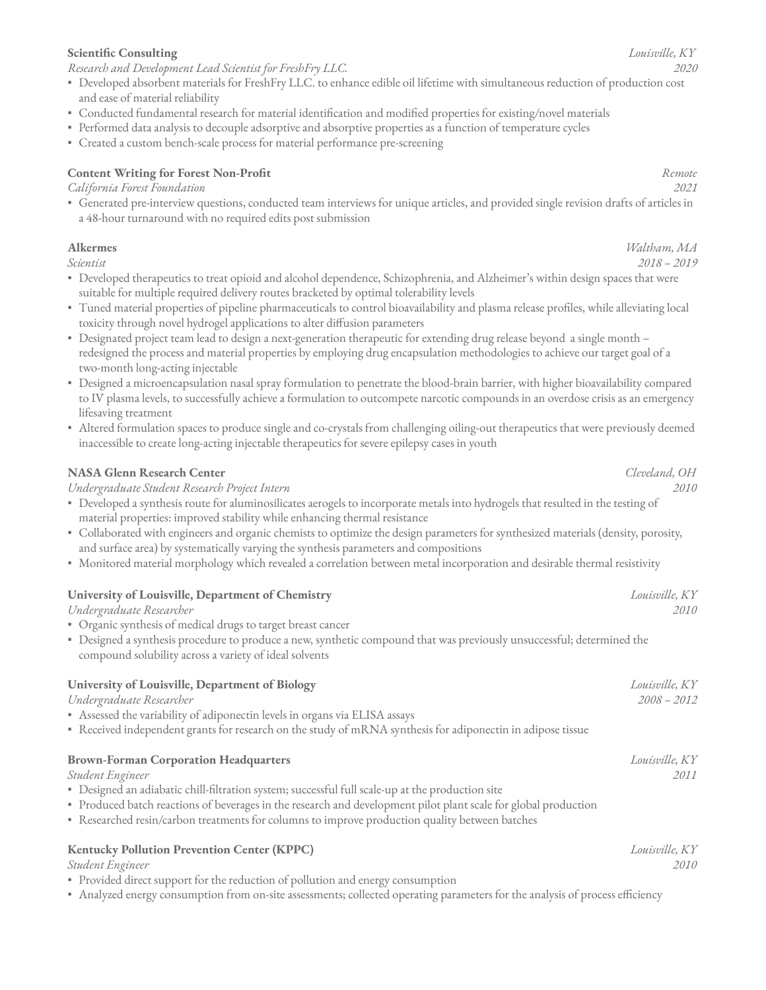#### **Scientic Consulting** *Louisville, KY*

*Research and Development Lead Scientist for FreshFry LLC. 2020*

- Developed absorbent materials for FreshFry LLC. to enhance edible oil lifetime with simultaneous reduction of production cost and ease of material reliability
- Conducted fundamental research for material identification and modified properties for existing/novel materials
- Performed data analysis to decouple adsorptive and absorptive properties as a function of temperature cycles
- Created a custom bench-scale process for material performance pre-screening

#### **Content Writing for Forest Non-Profit** *Remote*

*California Forest Foundation 2021*

▪ Generated pre-interview questions, conducted team interviews for unique articles, and provided single revision drafts of articles in a 48-hour turnaround with no required edits post submission

#### **Alkermes** *Waltham, MA*

- Developed therapeutics to treat opioid and alcohol dependence, Schizophrenia, and Alzheimer's within design spaces that were suitable for multiple required delivery routes bracketed by optimal tolerability levels
- · Tuned material properties of pipeline pharmaceuticals to control bioavailability and plasma release profiles, while alleviating local toxicity through novel hydrogel applications to alter diffusion parameters
- Designated project team lead to design a next-generation therapeutic for extending drug release beyond a single month redesigned the process and material properties by employing drug encapsulation methodologies to achieve our target goal of a two-month long-acting injectable
- Designed a microencapsulation nasal spray formulation to penetrate the blood-brain barrier, with higher bioavailability compared to IV plasma levels, to successfully achieve a formulation to outcompete narcotic compounds in an overdose crisis as an emergency lifesaving treatment
- Altered formulation spaces to produce single and co-crystals from challenging oiling-out therapeutics that were previously deemed inaccessible to create long-acting injectable therapeutics for severe epilepsy cases in youth

#### **NASA Glenn Research Center** *Cleveland, OH*

*Undergraduate Student Research Project Intern 2010*

- Developed a synthesis route for aluminosilicates aerogels to incorporate metals into hydrogels that resulted in the testing of material properties: improved stability while enhancing thermal resistance
- Collaborated with engineers and organic chemists to optimize the design parameters for synthesized materials (density, porosity, and surface area) by systematically varying the synthesis parameters and compositions
- Monitored material morphology which revealed a correlation between metal incorporation and desirable thermal resistivity

| University of Louisville, Department of Chemistry                                                                      |                |
|------------------------------------------------------------------------------------------------------------------------|----------------|
| Undergraduate Researcher                                                                                               | 2010           |
| • Organic synthesis of medical drugs to target breast cancer                                                           |                |
| • Designed a synthesis procedure to produce a new, synthetic compound that was previously unsuccessful; determined the |                |
| compound solubility across a variety of ideal solvents                                                                 |                |
| University of Louisville, Department of Biology                                                                        | Louisville, KY |
| Undergraduate Researcher                                                                                               | $2008 - 2012$  |
| Assessed the variability of adiponectin levels in organs via ELISA assays                                              |                |
| • Received independent grants for research on the study of mRNA synthesis for adiponectin in adipose tissue            |                |
| <b>Brown-Forman Corporation Headquarters</b>                                                                           | Louisville, KY |
| Student Engineer                                                                                                       | 2011           |
| · Designed an adiabatic chill-filtration system; successful full scale-up at the production site                       |                |
|                                                                                                                        |                |

- Produced batch reactions of beverages in the research and development pilot plant scale for global production
- Researched resin/carbon treatments for columns to improve production quality between batches

#### **Kentucky Pollution Prevention Center (KPPC)** *Louisville, KY*

*Student Engineer 2010*

- Provided direct support for the reduction of pollution and energy consumption
- Analyzed energy consumption from on-site assessments; collected operating parameters for the analysis of process efficiency

*Scientist 2018 – 2019*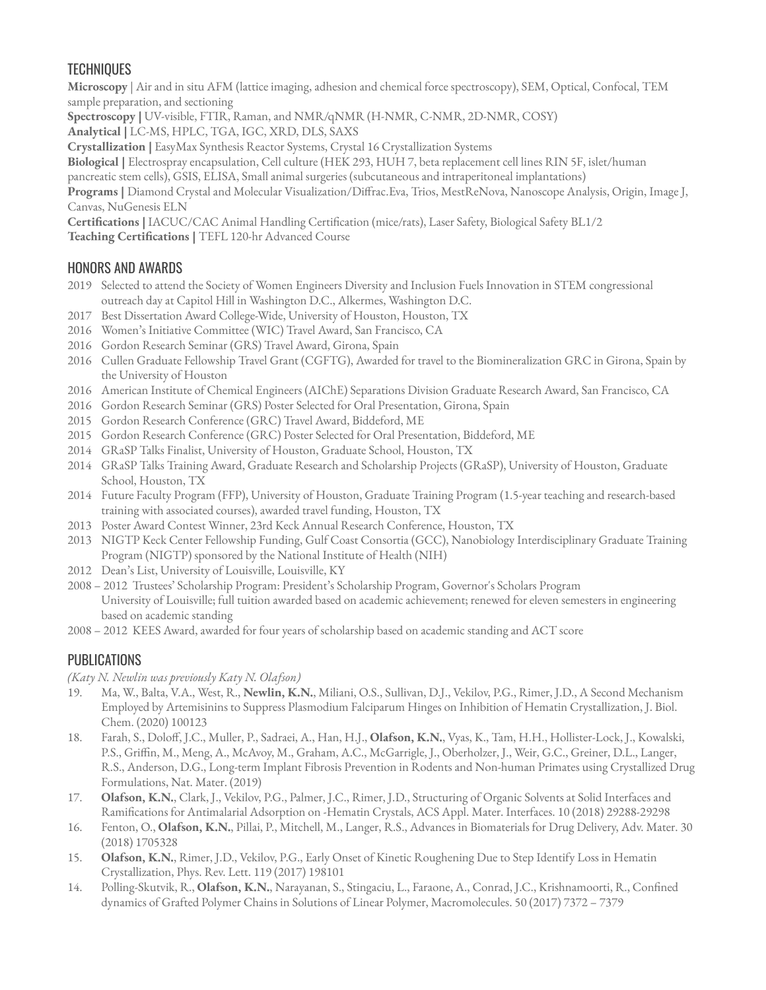## **TECHNIQUES**

**Microscopy** | Air and in situ AFM (lattice imaging, adhesion and chemical force spectroscopy), SEM, Optical, Confocal, TEM sample preparation, and sectioning

**Spectroscopy |** UV-visible, FTIR, Raman, and NMR/qNMR (H-NMR, C-NMR, 2D-NMR, COSY)

**Analytical |** LC-MS, HPLC, TGA, IGC, XRD, DLS, SAXS

**Crystallization |** EasyMax Synthesis Reactor Systems, Crystal 16 Crystallization Systems

**Biological |** Electrospray encapsulation, Cell culture (HEK 293, HUH 7, beta replacement cell lines RIN 5F, islet/human

pancreatic stem cells), GSIS, ELISA, Small animal surgeries (subcutaneous and intraperitoneal implantations)

Programs | Diamond Crystal and Molecular Visualization/Diffrac.Eva, Trios, MestReNova, Nanoscope Analysis, Origin, Image J, Canvas, NuGenesis ELN

Certifications | IACUC/CAC Animal Handling Certification (mice/rats), Laser Safety, Biological Safety BL1/2 **Teaching Certifications | TEFL 120-hr Advanced Course** 

## HONORS AND AWARDS

- 2019 Selected to attend the Society of Women Engineers Diversity and Inclusion Fuels Innovation in STEM congressional outreach day at Capitol Hill in Washington D.C., Alkermes, Washington D.C.
- 2017 Best Dissertation Award College-Wide, University of Houston, Houston, TX
- 2016 Women's Initiative Committee (WIC) Travel Award, San Francisco, CA
- 2016 Gordon Research Seminar (GRS) Travel Award, Girona, Spain
- 2016 Cullen Graduate Fellowship Travel Grant (CGFTG), Awarded for travel to the Biomineralization GRC in Girona, Spain by the University of Houston
- 2016 American Institute of Chemical Engineers (AIChE) Separations Division Graduate Research Award, San Francisco, CA
- 2016 Gordon Research Seminar (GRS) Poster Selected for Oral Presentation, Girona, Spain
- 2015 Gordon Research Conference (GRC) Travel Award, Biddeford, ME
- 2015 Gordon Research Conference (GRC) Poster Selected for Oral Presentation, Biddeford, ME
- 2014 GRaSP Talks Finalist, University of Houston, Graduate School, Houston, TX
- 2014 GRaSP Talks Training Award, Graduate Research and Scholarship Projects (GRaSP), University of Houston, Graduate School, Houston, TX
- 2014 Future Faculty Program (FFP), University of Houston, Graduate Training Program (1.5-year teaching and research-based training with associated courses), awarded travel funding, Houston, TX
- 2013 Poster Award Contest Winner, 23rd Keck Annual Research Conference, Houston, TX
- 2013 NIGTP Keck Center Fellowship Funding, Gulf Coast Consortia (GCC), Nanobiology Interdisciplinary Graduate Training Program (NIGTP) sponsored by the National Institute of Health (NIH)
- 2012 Dean's List, University of Louisville, Louisville, KY
- 2008 2012 Trustees' Scholarship Program: President's Scholarship Program, Governor's Scholars Program University of Louisville; full tuition awarded based on academic achievement; renewed for eleven semesters in engineering based on academic standing
- 2008 2012 KEES Award, awarded for four years of scholarship based on academic standing and ACT score

## PUBLICATIONS

- *(Katy N. Newlin was previously Katy N. Olafson)*
- 19. Ma, W., Balta, V.A., West, R., **Newlin, K.N.**, Miliani, O.S., Sullivan, D.J., Vekilov, P.G., Rimer, J.D., A Second Mechanism Employed by Artemisinins to Suppress Plasmodium Falciparum Hinges on Inhibition of Hematin Crystallization, J. Biol. Chem. (2020) 100123
- 18. Farah, S., Doloff, J.C., Muller, P., Sadraei, A., Han, H.J., Olafson, K.N., Vyas, K., Tam, H.H., Hollister-Lock, J., Kowalski, P.S., Griffin, M., Meng, A., McAvoy, M., Graham, A.C., McGarrigle, J., Oberholzer, J., Weir, G.C., Greiner, D.L., Langer, R.S., Anderson, D.G., Long-term Implant Fibrosis Prevention in Rodents and Non-human Primates using Crystallized Drug Formulations, Nat. Mater. (2019)
- 17. **Olafson, K.N.**, Clark, J., Vekilov, P.G., Palmer, J.C., Rimer, J.D., Structuring of Organic Solvents at Solid Interfaces and Ramifications for Antimalarial Adsorption on -Hematin Crystals, ACS Appl. Mater. Interfaces. 10 (2018) 29288-29298
- 16. Fenton, O., **Olafson, K.N.**, Pillai, P., Mitchell, M., Langer, R.S., Advances in Biomaterials for Drug Delivery, Adv. Mater. 30 (2018) 1705328
- 15. **Olafson, K.N.**, Rimer, J.D., Vekilov, P.G., Early Onset of Kinetic Roughening Due to Step Identify Loss in Hematin Crystallization, Phys. Rev. Lett. 119 (2017) 198101
- 14. Polling-Skutvik, R., **Olafson, K.N.**, Narayanan, S., Stingaciu, L., Faraone, A., Conrad, J.C., Krishnamoorti, R., Conned dynamics of Grafted Polymer Chains in Solutions of Linear Polymer, Macromolecules. 50 (2017) 7372 – 7379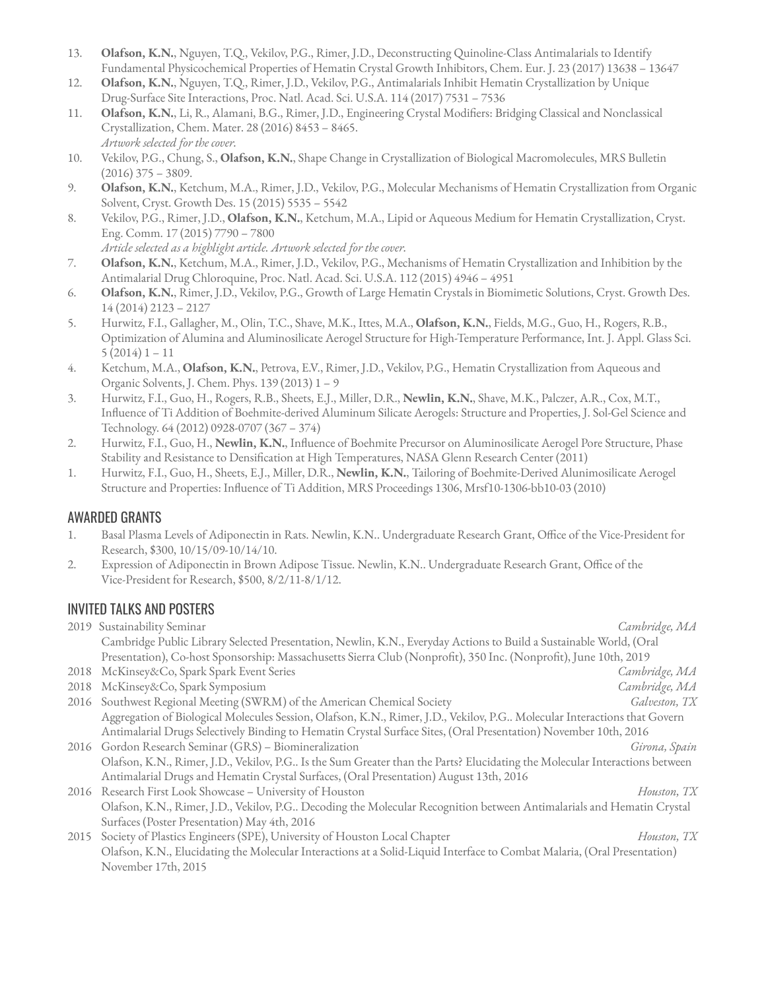- 13. **Olafson, K.N.**, Nguyen, T.Q., Vekilov, P.G., Rimer, J.D., Deconstructing Quinoline-Class Antimalarials to Identify Fundamental Physicochemical Properties of Hematin Crystal Growth Inhibitors, Chem. Eur. J. 23 (2017) 13638 – 13647
- 12. **Olafson, K.N.**, Nguyen, T.Q., Rimer, J.D., Vekilov, P.G., Antimalarials Inhibit Hematin Crystallization by Unique Drug-Surface Site Interactions, Proc. Natl. Acad. Sci. U.S.A. 114 (2017) 7531 – 7536
- 11. **Olafson, K.N.**, Li, R., Alamani, B.G., Rimer, J.D., Engineering Crystal Modifiers: Bridging Classical and Nonclassical Crystallization, Chem. Mater. 28 (2016) 8453 – 8465. *Artwork selected for the cover.*
- 10. Vekilov, P.G., Chung, S., **Olafson, K.N.**, Shape Change in Crystallization of Biological Macromolecules, MRS Bulletin (2016) 375 – 3809.
- 9. **Olafson, K.N.**, Ketchum, M.A., Rimer, J.D., Vekilov, P.G., Molecular Mechanisms of Hematin Crystallization from Organic Solvent, Cryst. Growth Des. 15 (2015) 5535 – 5542
- 8. Vekilov, P.G., Rimer, J.D., **Olafson, K.N.**, Ketchum, M.A., Lipid or Aqueous Medium for Hematin Crystallization, Cryst. Eng. Comm. 17 (2015) 7790 – 7800

*Article selected as a highlight article. Artwork selected for the cover.*

- 7. **Olafson, K.N.**, Ketchum, M.A., Rimer, J.D., Vekilov, P.G., Mechanisms of Hematin Crystallization and Inhibition by the Antimalarial Drug Chloroquine, Proc. Natl. Acad. Sci. U.S.A. 112 (2015) 4946 – 4951
- 6. **Olafson, K.N.**, Rimer, J.D., Vekilov, P.G., Growth of Large Hematin Crystals in Biomimetic Solutions, Cryst. Growth Des. 14 (2014) 2123 – 2127
- 5. Hurwitz, F.I., Gallagher, M., Olin, T.C., Shave, M.K., Ittes, M.A., **Olafson, K.N.**, Fields, M.G., Guo, H., Rogers, R.B., Optimization of Alumina and Aluminosilicate Aerogel Structure for High-Temperature Performance, Int. J. Appl. Glass Sci.  $5(2014)1 - 11$
- 4. Ketchum, M.A., **Olafson, K.N.**, Petrova, E.V., Rimer, J.D., Vekilov, P.G., Hematin Crystallization from Aqueous and Organic Solvents, J. Chem. Phys. 139 (2013) 1 – 9
- 3. Hurwitz, F.I., Guo, H., Rogers, R.B., Sheets, E.J., Miller, D.R., **Newlin, K.N.**, Shave, M.K., Palczer, A.R., Cox, M.T., Inuence of Ti Addition of Boehmite-derived Aluminum Silicate Aerogels: Structure and Properties, J. Sol-Gel Science and Technology. 64 (2012) 0928-0707 (367 – 374)
- 2. Hurwitz, F.I., Guo, H., **Newlin, K.N.**, Influence of Boehmite Precursor on Aluminosilicate Aerogel Pore Structure, Phase Stability and Resistance to Densification at High Temperatures, NASA Glenn Research Center (2011)
- 1. Hurwitz, F.I., Guo, H., Sheets, E.J., Miller, D.R., **Newlin, K.N.**, Tailoring of Boehmite-Derived Alunimosilicate Aerogel Structure and Properties: Influence of Ti Addition, MRS Proceedings 1306, Mrsf10-1306-bb10-03 (2010)

## AWARDED GRANTS

- 1. Basal Plasma Levels of Adiponectin in Rats. Newlin, K.N.. Undergraduate Research Grant, Office of the Vice-President for Research, \$300, 10/15/09-10/14/10.
- 2. Expression of Adiponectin in Brown Adipose Tissue. Newlin, K.N.. Undergraduate Research Grant, Office of the Vice-President for Research, \$500, 8/2/11-8/1/12.

## INVITED TALKS AND POSTERS

November 17th, 2015

|      | 2019 Sustainability Seminar                                                                                                | Cambridge, MA |
|------|----------------------------------------------------------------------------------------------------------------------------|---------------|
|      | Cambridge Public Library Selected Presentation, Newlin, K.N., Everyday Actions to Build a Sustainable World, (Oral         |               |
|      | Presentation), Co-host Sponsorship: Massachusetts Sierra Club (Nonprofit), 350 Inc. (Nonprofit), June 10th, 2019           |               |
|      | 2018 McKinsey&Co, Spark Spark Event Series                                                                                 | Cambridge, MA |
| 2018 | McKinsey&Co, Spark Symposium                                                                                               | Cambridge, MA |
|      | 2016 Southwest Regional Meeting (SWRM) of the American Chemical Society                                                    | Galveston, TX |
|      | Aggregation of Biological Molecules Session, Olafson, K.N., Rimer, J.D., Vekilov, P.G Molecular Interactions that Govern   |               |
|      | Antimalarial Drugs Selectively Binding to Hematin Crystal Surface Sites, (Oral Presentation) November 10th, 2016           |               |
|      | 2016 Gordon Research Seminar (GRS) - Biomineralization                                                                     | Girona, Spain |
|      | Olafson, K.N., Rimer, J.D., Vekilov, P.G Is the Sum Greater than the Parts? Elucidating the Molecular Interactions between |               |
|      | Antimalarial Drugs and Hematin Crystal Surfaces, (Oral Presentation) August 13th, 2016                                     |               |
|      | 2016 Research First Look Showcase - University of Houston                                                                  | Houston, TX   |
|      | Olafson, K.N., Rimer, J.D., Vekilov, P.G Decoding the Molecular Recognition between Antimalarials and Hematin Crystal      |               |
|      | Surfaces (Poster Presentation) May 4th, 2016                                                                               |               |
| 2015 | Society of Plastics Engineers (SPE), University of Houston Local Chapter                                                   | Houston, TX   |
|      | Olafson, K.N., Elucidating the Molecular Interactions at a Solid-Liquid Interface to Combat Malaria, (Oral Presentation)   |               |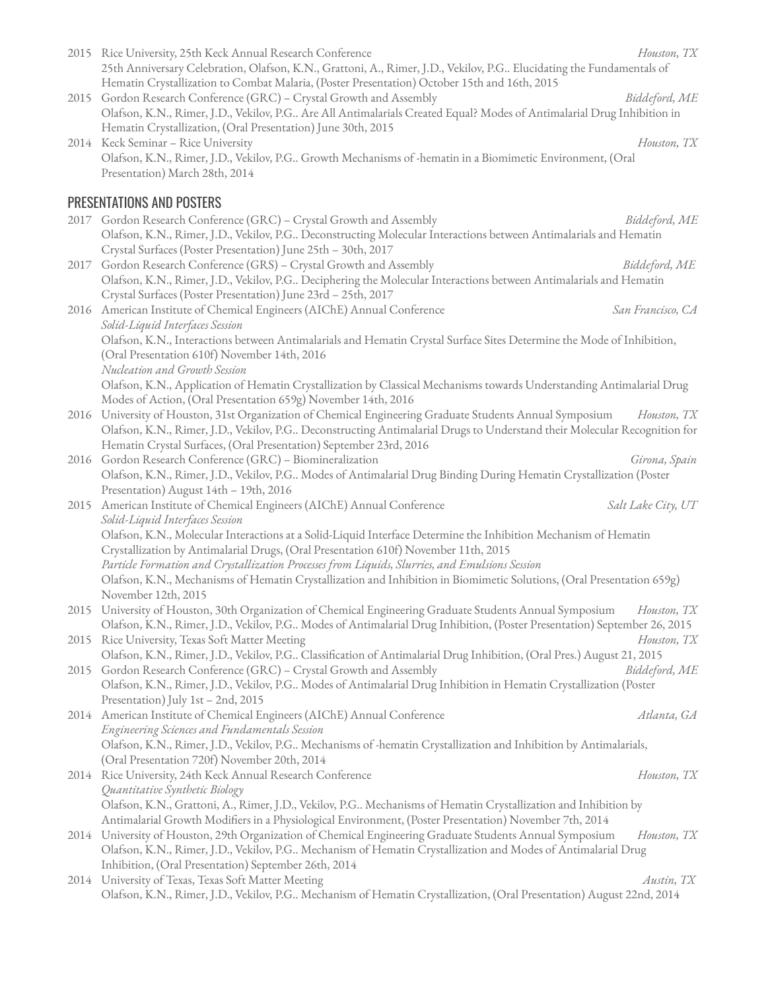|      | 2015 Rice University, 25th Keck Annual Research Conference<br>25th Anniversary Celebration, Olafson, K.N., Grattoni, A., Rimer, J.D., Vekilov, P.G Elucidating the Fundamentals of<br>Hematin Crystallization to Combat Malaria, (Poster Presentation) October 15th and 16th, 2015 | Houston, TX        |
|------|------------------------------------------------------------------------------------------------------------------------------------------------------------------------------------------------------------------------------------------------------------------------------------|--------------------|
| 2015 | Gordon Research Conference (GRC) - Crystal Growth and Assembly<br>Olafson, K.N., Rimer, J.D., Vekilov, P.G Are All Antimalarials Created Equal? Modes of Antimalarial Drug Inhibition in<br>Hematin Crystallization, (Oral Presentation) June 30th, 2015                           | Biddeford, ME      |
|      | 2014 Keck Seminar - Rice University                                                                                                                                                                                                                                                | Houston, TX        |
|      | Olafson, K.N., Rimer, J.D., Vekilov, P.G Growth Mechanisms of -hematin in a Biomimetic Environment, (Oral<br>Presentation) March 28th, 2014                                                                                                                                        |                    |
|      | <b>PRESENTATIONS AND POSTERS</b>                                                                                                                                                                                                                                                   |                    |
|      | 2017 Gordon Research Conference (GRC) - Crystal Growth and Assembly                                                                                                                                                                                                                | Biddeford, ME      |
|      | Olafson, K.N., Rimer, J.D., Vekilov, P.G Deconstructing Molecular Interactions between Antimalarials and Hematin<br>Crystal Surfaces (Poster Presentation) June 25th - 30th, 2017                                                                                                  |                    |
| 2017 | Gordon Research Conference (GRS) - Crystal Growth and Assembly                                                                                                                                                                                                                     | Biddeford, ME      |
|      | Olafson, K.N., Rimer, J.D., Vekilov, P.G Deciphering the Molecular Interactions between Antimalarials and Hematin<br>Crystal Surfaces (Poster Presentation) June 23rd - 25th, 2017                                                                                                 |                    |
|      | 2016 American Institute of Chemical Engineers (AIChE) Annual Conference                                                                                                                                                                                                            | San Francisco, CA  |
|      | Solid-Liquid Interfaces Session<br>Olafson, K.N., Interactions between Antimalarials and Hematin Crystal Surface Sites Determine the Mode of Inhibition,                                                                                                                           |                    |
|      | (Oral Presentation 610f) November 14th, 2016<br>Nucleation and Growth Session                                                                                                                                                                                                      |                    |
|      | Olafson, K.N., Application of Hematin Crystallization by Classical Mechanisms towards Understanding Antimalarial Drug                                                                                                                                                              |                    |
|      | Modes of Action, (Oral Presentation 659g) November 14th, 2016                                                                                                                                                                                                                      |                    |
|      | 2016 University of Houston, 31st Organization of Chemical Engineering Graduate Students Annual Symposium                                                                                                                                                                           | Houston, TX        |
|      | Olafson, K.N., Rimer, J.D., Vekilov, P.G Deconstructing Antimalarial Drugs to Understand their Molecular Recognition for                                                                                                                                                           |                    |
|      | Hematin Crystal Surfaces, (Oral Presentation) September 23rd, 2016                                                                                                                                                                                                                 |                    |
|      | 2016 Gordon Research Conference (GRC) - Biomineralization                                                                                                                                                                                                                          | Girona, Spain      |
|      | Olafson, K.N., Rimer, J.D., Vekilov, P.G Modes of Antimalarial Drug Binding During Hematin Crystallization (Poster                                                                                                                                                                 |                    |
|      | Presentation) August 14th - 19th, 2016                                                                                                                                                                                                                                             | Salt Lake City, UT |
|      | 2015 American Institute of Chemical Engineers (AIChE) Annual Conference<br>Solid-Liquid Interfaces Session                                                                                                                                                                         |                    |
|      | Olafson, K.N., Molecular Interactions at a Solid-Liquid Interface Determine the Inhibition Mechanism of Hematin                                                                                                                                                                    |                    |
|      | Crystallization by Antimalarial Drugs, (Oral Presentation 610f) November 11th, 2015                                                                                                                                                                                                |                    |
|      | Particle Formation and Crystallization Processes from Liquids, Slurries, and Emulsions Session                                                                                                                                                                                     |                    |
|      | Olafson, K.N., Mechanisms of Hematin Crystallization and Inhibition in Biomimetic Solutions, (Oral Presentation 659g)                                                                                                                                                              |                    |
|      | November 12th, 2015                                                                                                                                                                                                                                                                |                    |
|      | 2015 University of Houston, 30th Organization of Chemical Engineering Graduate Students Annual Symposium                                                                                                                                                                           | Houston, TX        |
|      | Olafson, K.N., Rimer, J.D., Vekilov, P.G Modes of Antimalarial Drug Inhibition, (Poster Presentation) September 26, 2015                                                                                                                                                           |                    |
|      | 2015 Rice University, Texas Soft Matter Meeting                                                                                                                                                                                                                                    | Houston, TX        |
|      | Olafson, K.N., Rimer, J.D., Vekilov, P.G Classification of Antimalarial Drug Inhibition, (Oral Pres.) August 21, 2015                                                                                                                                                              |                    |
|      | 2015 Gordon Research Conference (GRC) - Crystal Growth and Assembly<br>Olafson, K.N., Rimer, J.D., Vekilov, P.G Modes of Antimalarial Drug Inhibition in Hematin Crystallization (Poster                                                                                           | Biddeford, ME      |
|      | Presentation) July 1st - 2nd, 2015                                                                                                                                                                                                                                                 |                    |
|      | 2014 American Institute of Chemical Engineers (AIChE) Annual Conference                                                                                                                                                                                                            | Atlanta, GA        |
|      | Engineering Sciences and Fundamentals Session                                                                                                                                                                                                                                      |                    |
|      | Olafson, K.N., Rimer, J.D., Vekilov, P.G Mechanisms of -hematin Crystallization and Inhibition by Antimalarials,                                                                                                                                                                   |                    |
|      | (Oral Presentation 720f) November 20th, 2014                                                                                                                                                                                                                                       |                    |
|      | 2014 Rice University, 24th Keck Annual Research Conference                                                                                                                                                                                                                         | Houston, TX        |
|      | Quantitative Synthetic Biology                                                                                                                                                                                                                                                     |                    |
|      | Olafson, K.N., Grattoni, A., Rimer, J.D., Vekilov, P.G Mechanisms of Hematin Crystallization and Inhibition by                                                                                                                                                                     |                    |
|      | Antimalarial Growth Modifiers in a Physiological Environment, (Poster Presentation) November 7th, 2014                                                                                                                                                                             |                    |
|      | 2014 University of Houston, 29th Organization of Chemical Engineering Graduate Students Annual Symposium                                                                                                                                                                           | Houston, TX        |
|      | Olafson, K.N., Rimer, J.D., Vekilov, P.G Mechanism of Hematin Crystallization and Modes of Antimalarial Drug<br>Inhibition, (Oral Presentation) September 26th, 2014                                                                                                               |                    |
|      | 2014 University of Texas, Texas Soft Matter Meeting                                                                                                                                                                                                                                | Austin, TX         |
|      | Olafson, K.N., Rimer, J.D., Vekilov, P.G Mechanism of Hematin Crystallization, (Oral Presentation) August 22nd, 2014                                                                                                                                                               |                    |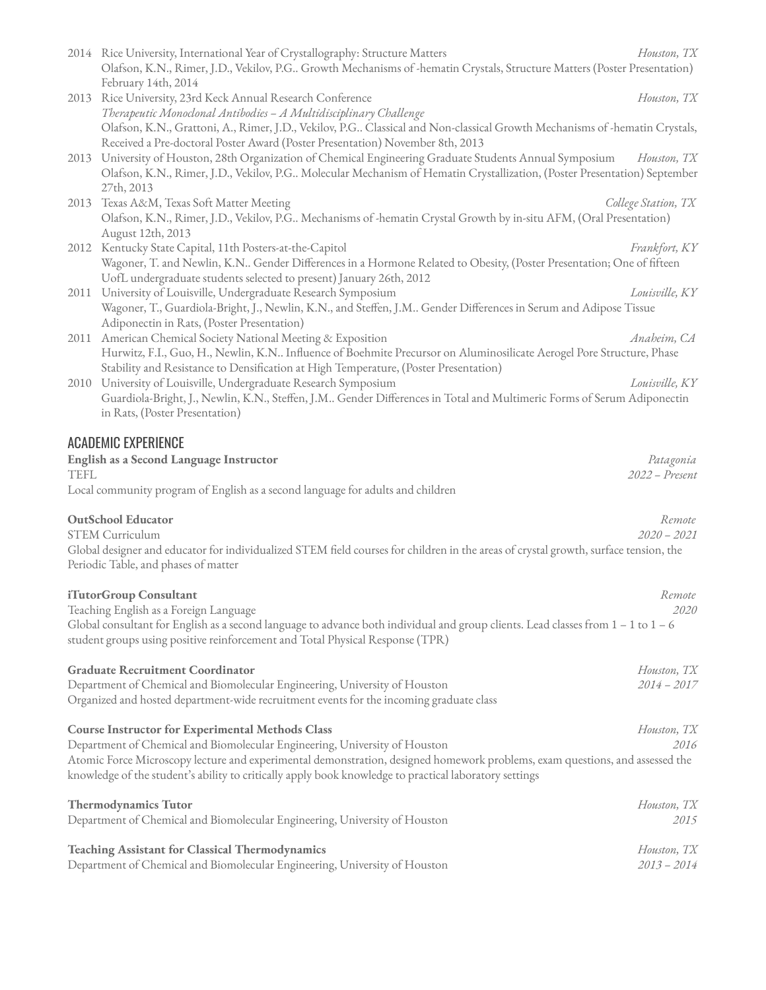|             | February 14th, 2014                                                                                                                                             |                             |
|-------------|-----------------------------------------------------------------------------------------------------------------------------------------------------------------|-----------------------------|
|             | 2013 Rice University, 23rd Keck Annual Research Conference                                                                                                      | Houston, TX                 |
|             | Therapeutic Monoclonal Antibodies - A Multidisciplinary Challenge                                                                                               |                             |
|             | Olafson, K.N., Grattoni, A., Rimer, J.D., Vekilov, P.G Classical and Non-classical Growth Mechanisms of -hematin Crystals,                                      |                             |
|             | Received a Pre-doctoral Poster Award (Poster Presentation) November 8th, 2013                                                                                   |                             |
|             | 2013 University of Houston, 28th Organization of Chemical Engineering Graduate Students Annual Symposium                                                        | Houston, TX                 |
|             | Olafson, K.N., Rimer, J.D., Vekilov, P.G Molecular Mechanism of Hematin Crystallization, (Poster Presentation) September                                        |                             |
|             | 27th, 2013                                                                                                                                                      |                             |
|             | 2013 Texas A&M, Texas Soft Matter Meeting<br>Olafson, K.N., Rimer, J.D., Vekilov, P.G Mechanisms of -hematin Crystal Growth by in-situ AFM, (Oral Presentation) | College Station, TX         |
|             | August 12th, 2013                                                                                                                                               |                             |
|             | 2012 Kentucky State Capital, 11th Posters-at-the-Capitol                                                                                                        | Frankfort, KY               |
|             | Wagoner, T. and Newlin, K.N Gender Differences in a Hormone Related to Obesity, (Poster Presentation; One of fifteen                                            |                             |
|             | UofL undergraduate students selected to present) January 26th, 2012                                                                                             |                             |
| 2011        | University of Louisville, Undergraduate Research Symposium                                                                                                      | Louisville, KY              |
|             | Wagoner, T., Guardiola-Bright, J., Newlin, K.N., and Steffen, J.M Gender Differences in Serum and Adipose Tissue                                                |                             |
|             | Adiponectin in Rats, (Poster Presentation)                                                                                                                      |                             |
| 2011        | American Chemical Society National Meeting & Exposition                                                                                                         | Anaheim, CA                 |
|             | Hurwitz, F.I., Guo, H., Newlin, K.N Influence of Boehmite Precursor on Aluminosilicate Aerogel Pore Structure, Phase                                            |                             |
|             | Stability and Resistance to Densification at High Temperature, (Poster Presentation)                                                                            |                             |
|             | 2010 University of Louisville, Undergraduate Research Symposium                                                                                                 | Louisville, KY              |
|             | Guardiola-Bright, J., Newlin, K.N., Steffen, J.M Gender Differences in Total and Multimeric Forms of Serum Adiponectin                                          |                             |
|             | in Rats, (Poster Presentation)                                                                                                                                  |                             |
|             | <b>ACADEMIC EXPERIENCE</b>                                                                                                                                      |                             |
|             |                                                                                                                                                                 |                             |
| <b>TEFL</b> | English as a Second Language Instructor                                                                                                                         | Patagonia<br>2022 - Present |
|             | Local community program of English as a second language for adults and children                                                                                 |                             |
|             |                                                                                                                                                                 |                             |
|             | <b>OutSchool Educator</b>                                                                                                                                       | Remote                      |
|             | <b>STEM Curriculum</b>                                                                                                                                          | $2020 - 2021$               |
|             | Global designer and educator for individualized STEM field courses for children in the areas of crystal growth, surface tension, the                            |                             |
|             | Periodic Table, and phases of matter                                                                                                                            |                             |
|             |                                                                                                                                                                 |                             |
|             | iTutorGroup Consultant                                                                                                                                          | Remote                      |
|             | Teaching English as a Foreign Language                                                                                                                          | 2020                        |
|             | Global consultant for English as a second language to advance both individual and group clients. Lead classes from $1 - 1$ to $1 - 6$                           |                             |
|             | student groups using positive reinforcement and Total Physical Response (TPR)                                                                                   |                             |
|             | <b>Graduate Recruitment Coordinator</b>                                                                                                                         | Houston, TX                 |
|             | Department of Chemical and Biomolecular Engineering, University of Houston                                                                                      | $2014 - 2017$               |
|             | Organized and hosted department-wide recruitment events for the incoming graduate class                                                                         |                             |
|             |                                                                                                                                                                 |                             |
|             | <b>Course Instructor for Experimental Methods Class</b>                                                                                                         | Houston, TX                 |
|             | Department of Chemical and Biomolecular Engineering, University of Houston                                                                                      | 2016                        |
|             | Atomic Force Microscopy lecture and experimental demonstration, designed homework problems, exam questions, and assessed the                                    |                             |
|             | knowledge of the student's ability to critically apply book knowledge to practical laboratory settings                                                          |                             |
|             |                                                                                                                                                                 |                             |
|             | <b>Thermodynamics Tutor</b>                                                                                                                                     | Houston, TX                 |
|             | Department of Chemical and Biomolecular Engineering, University of Houston                                                                                      | 2015                        |
|             | <b>Teaching Assistant for Classical Thermodynamics</b>                                                                                                          | Houston, TX                 |
|             | Department of Chemical and Biomolecular Engineering, University of Houston                                                                                      | $2013 - 2014$               |
|             |                                                                                                                                                                 |                             |

2014 Rice University, International Year of Crystallography: Structure Matters *Houston, TX* Olafson, K.N., Rimer, J.D., Vekilov, P.G.. Growth Mechanisms of -hematin Crystals, Structure Matters (Poster Presentation)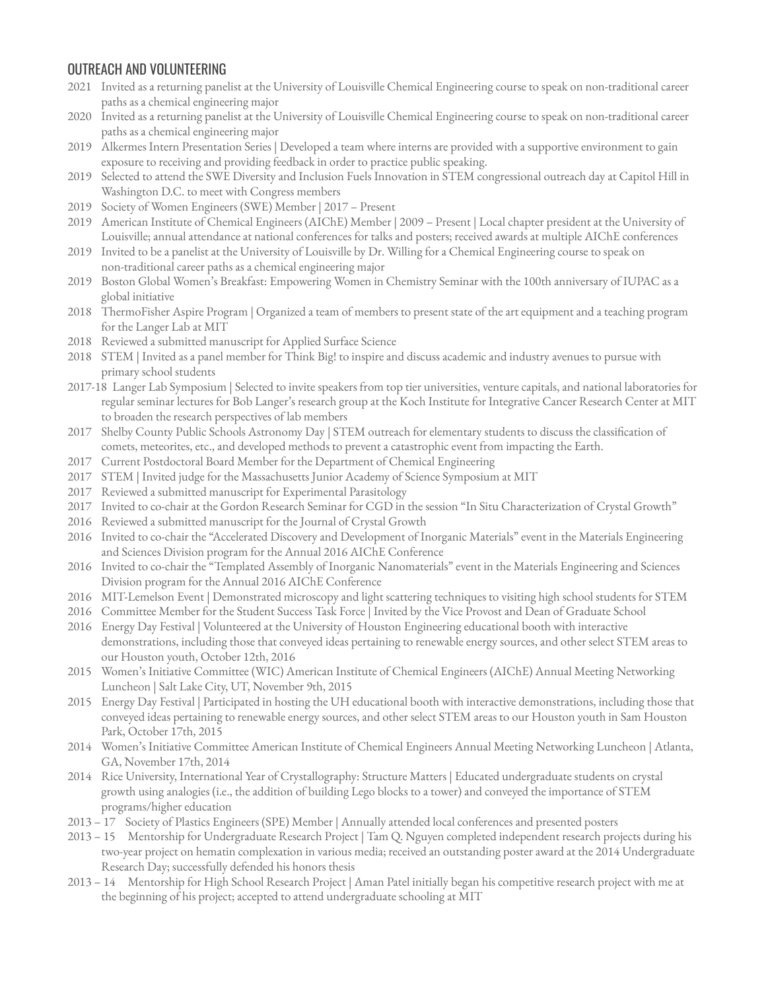## OUTREACH AND VOLUNTEERING

- 2021 Invited as a returning panelist at the University of Louisville Chemical Engineering course to speak on non-traditional career paths as a chemical engineering major
- 2020 Invited as a returning panelist at the University of Louisville Chemical Engineering course to speak on non-traditional career paths as a chemical engineering major
- 2019 Alkermes Intern Presentation Series | Developed a team where interns are provided with a supportive environment to gain exposure to receiving and providing feedback in order to practice public speaking.
- 2019 Selected to attend the SWE Diversity and Inclusion Fuels Innovation in STEM congressional outreach day at Capitol Hill in Washington D.C. to meet with Congress members
- 2019 Society of Women Engineers (SWE) Member | 2017 Present
- 2019 American Institute of Chemical Engineers (AIChE) Member | 2009 Present | Local chapter president at the University of Louisville; annual attendance at national conferences for talks and posters; received awards at multiple AIChE conferences
- 2019 Invited to be a panelist at the University of Louisville by Dr. Willing for a Chemical Engineering course to speak on non-traditional career paths as a chemical engineering major
- 2019 Boston Global Women's Breakfast: Empowering Women in Chemistry Seminar with the 100th anniversary of IUPAC as a global initiative
- 2018 ThermoFisher Aspire Program | Organized a team of members to present state of the art equipment and a teaching program for the Langer Lab at MIT
- 2018 Reviewed a submitted manuscript for Applied Surface Science
- 2018 STEM | Invited as a panel member for Think Big! to inspire and discuss academic and industry avenues to pursue with primary school students
- 2017-18 Langer Lab Symposium | Selected to invite speakers from top tier universities, venture capitals, and national laboratories for regular seminar lectures for Bob Langer's research group at the Koch Institute for Integrative Cancer Research Center at MIT to broaden the research perspectives of lab members
- 2017 Shelby County Public Schools Astronomy Day | STEM outreach for elementary students to discuss the classification of comets, meteorites, etc., and developed methods to prevent a catastrophic event from impacting the Earth.
- 2017 Current Postdoctoral Board Member for the Department of Chemical Engineering
- 2017 STEM | Invited judge for the Massachusetts Junior Academy of Science Symposium at MIT
- 2017 Reviewed a submitted manuscript for Experimental Parasitology
- 2017 Invited to co-chair at the Gordon Research Seminar for CGD in the session "In Situ Characterization of Crystal Growth"
- 2016 Reviewed a submitted manuscript for the Journal of Crystal Growth
- 2016 Invited to co-chair the "Accelerated Discovery and Development of Inorganic Materials" event in the Materials Engineering and Sciences Division program for the Annual 2016 AIChE Conference
- 2016 Invited to co-chair the "Templated Assembly of Inorganic Nanomaterials" event in the Materials Engineering and Sciences Division program for the Annual 2016 AIChE Conference
- 2016 MIT-Lemelson Event | Demonstrated microscopy and light scattering techniques to visiting high school students for STEM
- 2016 Committee Member for the Student Success Task Force | Invited by the Vice Provost and Dean of Graduate School
- 2016 Energy Day Festival | Volunteered at the University of Houston Engineering educational booth with interactive demonstrations, including those that conveyed ideas pertaining to renewable energy sources, and other select STEM areas to our Houston youth, October 12th, 2016
- 2015 Women's Initiative Committee (WIC) American Institute of Chemical Engineers (AIChE) Annual Meeting Networking Luncheon | Salt Lake City, UT, November 9th, 2015
- 2015 Energy Day Festival | Participated in hosting the UH educational booth with interactive demonstrations, including those that conveyed ideas pertaining to renewable energy sources, and other select STEM areas to our Houston youth in Sam Houston Park, October 17th, 2015
- 2014 Women's Initiative Committee American Institute of Chemical Engineers Annual Meeting Networking Luncheon | Atlanta, GA, November 17th, 2014
- 2014 Rice University, International Year of Crystallography: Structure Matters | Educated undergraduate students on crystal growth using analogies (i.e., the addition of building Lego blocks to a tower) and conveyed the importance of STEM programs/higher education
- 2013 17 Society of Plastics Engineers (SPE) Member | Annually attended local conferences and presented posters
- 2013 15 Mentorship for Undergraduate Research Project | Tam Q. Nguyen completed independent research projects during his two-year project on hematin complexation in various media; received an outstanding poster award at the 2014 Undergraduate Research Day; successfully defended his honors thesis
- 2013 14 Mentorship for High School Research Project | Aman Patel initially began his competitive research project with me at the beginning of his project; accepted to attend undergraduate schooling at MIT